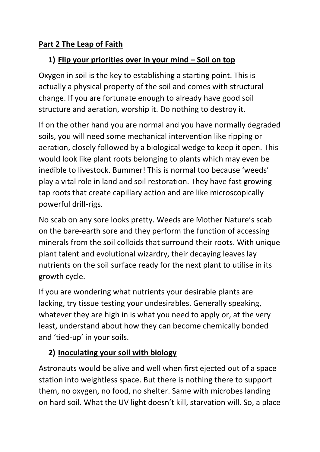#### **Part 2 The Leap of Faith**

### **1) Flip your priorities over in your mind – Soil on top**

Oxygen in soil is the key to establishing a starting point. This is actually a physical property of the soil and comes with structural change. If you are fortunate enough to already have good soil structure and aeration, worship it. Do nothing to destroy it.

If on the other hand you are normal and you have normally degraded soils, you will need some mechanical intervention like ripping or aeration, closely followed by a biological wedge to keep it open. This would look like plant roots belonging to plants which may even be inedible to livestock. Bummer! This is normal too because 'weeds' play a vital role in land and soil restoration. They have fast growing tap roots that create capillary action and are like microscopically powerful drill-rigs.

No scab on any sore looks pretty. Weeds are Mother Nature's scab on the bare-earth sore and they perform the function of accessing minerals from the soil colloids that surround their roots. With unique plant talent and evolutional wizardry, their decaying leaves lay nutrients on the soil surface ready for the next plant to utilise in its growth cycle.

If you are wondering what nutrients your desirable plants are lacking, try tissue testing your undesirables. Generally speaking, whatever they are high in is what you need to apply or, at the very least, understand about how they can become chemically bonded and 'tied-up' in your soils.

### **2) Inoculating your soil with biology**

Astronauts would be alive and well when first ejected out of a space station into weightless space. But there is nothing there to support them, no oxygen, no food, no shelter. Same with microbes landing on hard soil. What the UV light doesn't kill, starvation will. So, a place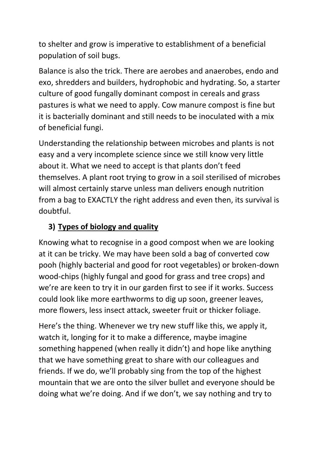to shelter and grow is imperative to establishment of a beneficial population of soil bugs.

Balance is also the trick. There are aerobes and anaerobes, endo and exo, shredders and builders, hydrophobic and hydrating. So, a starter culture of good fungally dominant compost in cereals and grass pastures is what we need to apply. Cow manure compost is fine but it is bacterially dominant and still needs to be inoculated with a mix of beneficial fungi.

Understanding the relationship between microbes and plants is not easy and a very incomplete science since we still know very little about it. What we need to accept is that plants don't feed themselves. A plant root trying to grow in a soil sterilised of microbes will almost certainly starve unless man delivers enough nutrition from a bag to EXACTLY the right address and even then, its survival is doubtful.

### **3) Types of biology and quality**

Knowing what to recognise in a good compost when we are looking at it can be tricky. We may have been sold a bag of converted cow pooh (highly bacterial and good for root vegetables) or broken-down wood-chips (highly fungal and good for grass and tree crops) and we're are keen to try it in our garden first to see if it works. Success could look like more earthworms to dig up soon, greener leaves, more flowers, less insect attack, sweeter fruit or thicker foliage.

Here's the thing. Whenever we try new stuff like this, we apply it, watch it, longing for it to make a difference, maybe imagine something happened (when really it didn't) and hope like anything that we have something great to share with our colleagues and friends. If we do, we'll probably sing from the top of the highest mountain that we are onto the silver bullet and everyone should be doing what we're doing. And if we don't, we say nothing and try to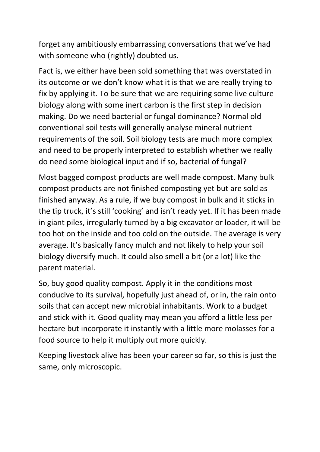forget any ambitiously embarrassing conversations that we've had with someone who (rightly) doubted us.

Fact is, we either have been sold something that was overstated in its outcome or we don't know what it is that we are really trying to fix by applying it. To be sure that we are requiring some live culture biology along with some inert carbon is the first step in decision making. Do we need bacterial or fungal dominance? Normal old conventional soil tests will generally analyse mineral nutrient requirements of the soil. Soil biology tests are much more complex and need to be properly interpreted to establish whether we really do need some biological input and if so, bacterial of fungal?

Most bagged compost products are well made compost. Many bulk compost products are not finished composting yet but are sold as finished anyway. As a rule, if we buy compost in bulk and it sticks in the tip truck, it's still 'cooking' and isn't ready yet. If it has been made in giant piles, irregularly turned by a big excavator or loader, it will be too hot on the inside and too cold on the outside. The average is very average. It's basically fancy mulch and not likely to help your soil biology diversify much. It could also smell a bit (or a lot) like the parent material.

So, buy good quality compost. Apply it in the conditions most conducive to its survival, hopefully just ahead of, or in, the rain onto soils that can accept new microbial inhabitants. Work to a budget and stick with it. Good quality may mean you afford a little less per hectare but incorporate it instantly with a little more molasses for a food source to help it multiply out more quickly.

Keeping livestock alive has been your career so far, so this is just the same, only microscopic.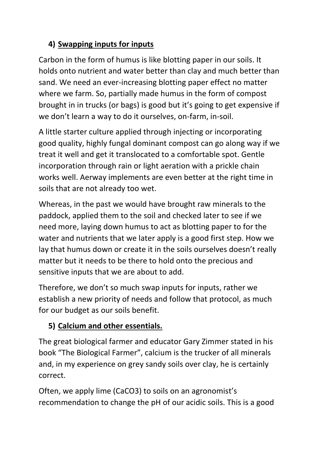## **4) Swapping inputs for inputs**

Carbon in the form of humus is like blotting paper in our soils. It holds onto nutrient and water better than clay and much better than sand. We need an ever-increasing blotting paper effect no matter where we farm. So, partially made humus in the form of compost brought in in trucks (or bags) is good but it's going to get expensive if we don't learn a way to do it ourselves, on-farm, in-soil.

A little starter culture applied through injecting or incorporating good quality, highly fungal dominant compost can go along way if we treat it well and get it translocated to a comfortable spot. Gentle incorporation through rain or light aeration with a prickle chain works well. Aerway implements are even better at the right time in soils that are not already too wet.

Whereas, in the past we would have brought raw minerals to the paddock, applied them to the soil and checked later to see if we need more, laying down humus to act as blotting paper to for the water and nutrients that we later apply is a good first step. How we lay that humus down or create it in the soils ourselves doesn't really matter but it needs to be there to hold onto the precious and sensitive inputs that we are about to add.

Therefore, we don't so much swap inputs for inputs, rather we establish a new priority of needs and follow that protocol, as much for our budget as our soils benefit.

# **5) Calcium and other essentials.**

The great biological farmer and educator Gary Zimmer stated in his book "The Biological Farmer", calcium is the trucker of all minerals and, in my experience on grey sandy soils over clay, he is certainly correct.

Often, we apply lime (CaCO3) to soils on an agronomist's recommendation to change the pH of our acidic soils. This is a good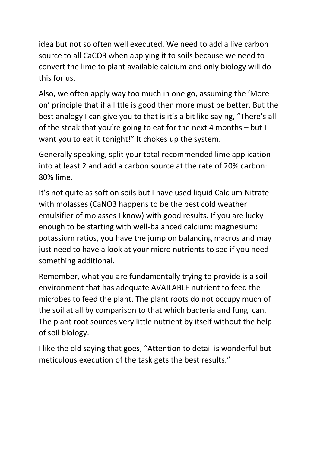idea but not so often well executed. We need to add a live carbon source to all CaCO3 when applying it to soils because we need to convert the lime to plant available calcium and only biology will do this for us.

Also, we often apply way too much in one go, assuming the 'Moreon' principle that if a little is good then more must be better. But the best analogy I can give you to that is it's a bit like saying, "There's all of the steak that you're going to eat for the next 4 months – but I want you to eat it tonight!" It chokes up the system.

Generally speaking, split your total recommended lime application into at least 2 and add a carbon source at the rate of 20% carbon: 80% lime.

It's not quite as soft on soils but I have used liquid Calcium Nitrate with molasses (CaNO3 happens to be the best cold weather emulsifier of molasses I know) with good results. If you are lucky enough to be starting with well-balanced calcium: magnesium: potassium ratios, you have the jump on balancing macros and may just need to have a look at your micro nutrients to see if you need something additional.

Remember, what you are fundamentally trying to provide is a soil environment that has adequate AVAILABLE nutrient to feed the microbes to feed the plant. The plant roots do not occupy much of the soil at all by comparison to that which bacteria and fungi can. The plant root sources very little nutrient by itself without the help of soil biology.

I like the old saying that goes, "Attention to detail is wonderful but meticulous execution of the task gets the best results."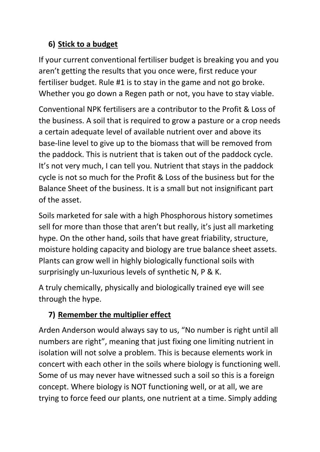## **6) Stick to a budget**

If your current conventional fertiliser budget is breaking you and you aren't getting the results that you once were, first reduce your fertiliser budget. Rule #1 is to stay in the game and not go broke. Whether you go down a Regen path or not, you have to stay viable.

Conventional NPK fertilisers are a contributor to the Profit & Loss of the business. A soil that is required to grow a pasture or a crop needs a certain adequate level of available nutrient over and above its base-line level to give up to the biomass that will be removed from the paddock. This is nutrient that is taken out of the paddock cycle. It's not very much, I can tell you. Nutrient that stays in the paddock cycle is not so much for the Profit & Loss of the business but for the Balance Sheet of the business. It is a small but not insignificant part of the asset.

Soils marketed for sale with a high Phosphorous history sometimes sell for more than those that aren't but really, it's just all marketing hype. On the other hand, soils that have great friability, structure, moisture holding capacity and biology are true balance sheet assets. Plants can grow well in highly biologically functional soils with surprisingly un-luxurious levels of synthetic N, P & K.

A truly chemically, physically and biologically trained eye will see through the hype.

## **7) Remember the multiplier effect**

Arden Anderson would always say to us, "No number is right until all numbers are right", meaning that just fixing one limiting nutrient in isolation will not solve a problem. This is because elements work in concert with each other in the soils where biology is functioning well. Some of us may never have witnessed such a soil so this is a foreign concept. Where biology is NOT functioning well, or at all, we are trying to force feed our plants, one nutrient at a time. Simply adding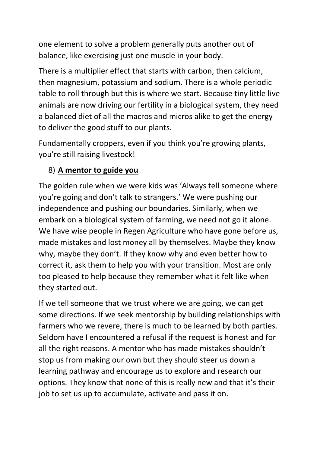one element to solve a problem generally puts another out of balance, like exercising just one muscle in your body.

There is a multiplier effect that starts with carbon, then calcium, then magnesium, potassium and sodium. There is a whole periodic table to roll through but this is where we start. Because tiny little live animals are now driving our fertility in a biological system, they need a balanced diet of all the macros and micros alike to get the energy to deliver the good stuff to our plants.

Fundamentally croppers, even if you think you're growing plants, you're still raising livestock!

### 8) **A mentor to guide you**

The golden rule when we were kids was 'Always tell someone where you're going and don't talk to strangers.' We were pushing our independence and pushing our boundaries. Similarly, when we embark on a biological system of farming, we need not go it alone. We have wise people in Regen Agriculture who have gone before us, made mistakes and lost money all by themselves. Maybe they know why, maybe they don't. If they know why and even better how to correct it, ask them to help you with your transition. Most are only too pleased to help because they remember what it felt like when they started out.

If we tell someone that we trust where we are going, we can get some directions. If we seek mentorship by building relationships with farmers who we revere, there is much to be learned by both parties. Seldom have I encountered a refusal if the request is honest and for all the right reasons. A mentor who has made mistakes shouldn't stop us from making our own but they should steer us down a learning pathway and encourage us to explore and research our options. They know that none of this is really new and that it's their job to set us up to accumulate, activate and pass it on.